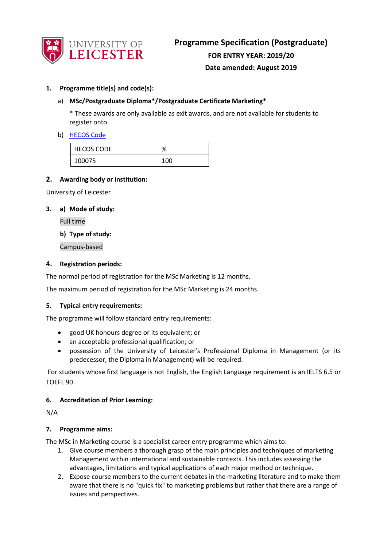

# **1. Programme title(s) and code(s):**

# a) **MSc/Postgraduate Diploma\*/Postgraduate Certificate Marketing\***

\* These awards are only available as exit awards, and are not available for students to register onto.

#### b) [HECOS Code](https://www.hesa.ac.uk/innovation/hecos)

| <b>HECOS CODE</b> | %   |
|-------------------|-----|
| 100075            | 100 |

#### **2. Awarding body or institution:**

University of Leicester

## **3. a) Mode of study:**

Full time

**b) Type of study:**

Campus-based

# **4. Registration periods:**

The normal period of registration for the MSc Marketing is 12 months.

The maximum period of registration for the MSc Marketing is 24 months.

#### **5. Typical entry requirements:**

The programme will follow standard entry requirements:

- good UK honours degree or its equivalent; or
- an acceptable professional qualification; or
- possession of the University of Leicester's Professional Diploma in Management (or its predecessor, the Diploma in Management) will be required.

For students whose first language is not English, the English Language requirement is an IELTS 6.5 or TOEFL 90.

#### **6. Accreditation of Prior Learning:**

N/A

#### **7. Programme aims:**

The MSc in Marketing course is a specialist career entry programme which aims to:

- 1. Give course members a thorough grasp of the main principles and techniques of marketing Management within international and sustainable contexts. This includes assessing the advantages, limitations and typical applications of each major method or technique.
- 2. Expose course members to the current debates in the marketing literature and to make them aware that there is no "quick fix" to marketing problems but rather that there are a range of issues and perspectives.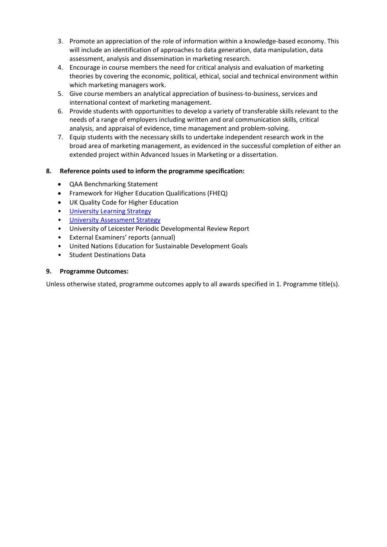- 3. Promote an appreciation of the role of information within a knowledge-based economy. This will include an identification of approaches to data generation, data manipulation, data assessment, analysis and dissemination in marketing research.
- 4. Encourage in course members the need for critical analysis and evaluation of marketing theories by covering the economic, political, ethical, social and technical environment within which marketing managers work.
- 5. Give course members an analytical appreciation of business-to-business, services and international context of marketing management.
- 6. Provide students with opportunities to develop a variety of transferable skills relevant to the needs of a range of employers including written and oral communication skills, critical analysis, and appraisal of evidence, time management and problem-solving.
- 7. Equip students with the necessary skills to undertake independent research work in the broad area of marketing management, as evidenced in the successful completion of either an extended project within Advanced Issues in Marketing or a dissertation.

# **8. Reference points used to inform the programme specification:**

- QAA Benchmarking Statement
- Framework for Higher Education Qualifications (FHEQ)
- UK Quality Code for Higher Education
- University Learnin[g Strategy](https://www2.le.ac.uk/offices/sas2/quality/learnteach)
- [University Assessment Strategy](https://www2.le.ac.uk/offices/sas2/quality/learnteach)
- University of Leicester Periodic Developmental Review Report
- External Examiners' reports (annual)
- United Nations Education for Sustainable Development Goals
- Student Destinations Data

#### **9. Programme Outcomes:**

Unless otherwise stated, programme outcomes apply to all awards specified in 1. Programme title(s).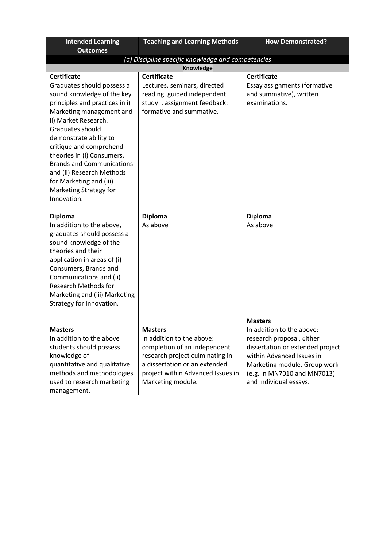| <b>Intended Learning</b><br><b>Outcomes</b>                                                                                                                                                                                                                                                                                                                                                                      | <b>Teaching and Learning Methods</b>                                                                                                                                                                      | <b>How Demonstrated?</b>                                                                                                                                                                                                           |  |
|------------------------------------------------------------------------------------------------------------------------------------------------------------------------------------------------------------------------------------------------------------------------------------------------------------------------------------------------------------------------------------------------------------------|-----------------------------------------------------------------------------------------------------------------------------------------------------------------------------------------------------------|------------------------------------------------------------------------------------------------------------------------------------------------------------------------------------------------------------------------------------|--|
| (a) Discipline specific knowledge and competencies                                                                                                                                                                                                                                                                                                                                                               |                                                                                                                                                                                                           |                                                                                                                                                                                                                                    |  |
|                                                                                                                                                                                                                                                                                                                                                                                                                  | <b>Knowledge</b>                                                                                                                                                                                          |                                                                                                                                                                                                                                    |  |
| <b>Certificate</b><br>Graduates should possess a<br>sound knowledge of the key<br>principles and practices in i)<br>Marketing management and<br>ii) Market Research.<br>Graduates should<br>demonstrate ability to<br>critique and comprehend<br>theories in (i) Consumers,<br><b>Brands and Communications</b><br>and (ii) Research Methods<br>for Marketing and (iii)<br>Marketing Strategy for<br>Innovation. | <b>Certificate</b><br>Lectures, seminars, directed<br>reading, guided independent<br>study, assignment feedback:<br>formative and summative.                                                              | <b>Certificate</b><br>Essay assignments (formative<br>and summative), written<br>examinations.                                                                                                                                     |  |
| <b>Diploma</b><br>In addition to the above,<br>graduates should possess a<br>sound knowledge of the<br>theories and their<br>application in areas of (i)<br>Consumers, Brands and<br>Communications and (ii)<br><b>Research Methods for</b><br>Marketing and (iii) Marketing<br>Strategy for Innovation.                                                                                                         | <b>Diploma</b><br>As above                                                                                                                                                                                | <b>Diploma</b><br>As above                                                                                                                                                                                                         |  |
| <b>Masters</b><br>In addition to the above<br>students should possess<br>knowledge of<br>quantitative and qualitative<br>methods and methodologies<br>used to research marketing<br>management.                                                                                                                                                                                                                  | <b>Masters</b><br>In addition to the above:<br>completion of an independent<br>research project culminating in<br>a dissertation or an extended<br>project within Advanced Issues in<br>Marketing module. | <b>Masters</b><br>In addition to the above:<br>research proposal, either<br>dissertation or extended project<br>within Advanced Issues in<br>Marketing module. Group work<br>(e.g. in MN7010 and MN7013)<br>and individual essays. |  |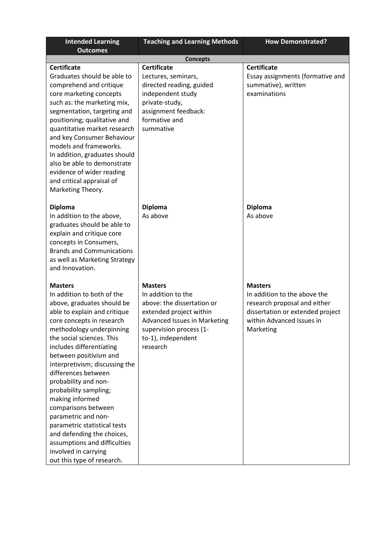| <b>Intended Learning</b>                                     | <b>Teaching and Learning Methods</b> | <b>How Demonstrated?</b>         |
|--------------------------------------------------------------|--------------------------------------|----------------------------------|
| <b>Outcomes</b>                                              |                                      |                                  |
|                                                              | <b>Concepts</b>                      |                                  |
| <b>Certificate</b>                                           | <b>Certificate</b>                   | <b>Certificate</b>               |
| Graduates should be able to                                  | Lectures, seminars,                  | Essay assignments (formative and |
| comprehend and critique                                      | directed reading, guided             | summative), written              |
| core marketing concepts                                      | independent study                    | examinations                     |
| such as: the marketing mix,                                  | private-study,                       |                                  |
| segmentation, targeting and                                  | assignment feedback:                 |                                  |
| positioning; qualitative and                                 | formative and                        |                                  |
| quantitative market research                                 | summative                            |                                  |
| and key Consumer Behaviour                                   |                                      |                                  |
| models and frameworks.                                       |                                      |                                  |
| In addition, graduates should<br>also be able to demonstrate |                                      |                                  |
| evidence of wider reading                                    |                                      |                                  |
| and critical appraisal of                                    |                                      |                                  |
| Marketing Theory.                                            |                                      |                                  |
|                                                              |                                      |                                  |
| <b>Diploma</b>                                               | <b>Diploma</b>                       | <b>Diploma</b>                   |
| In addition to the above,                                    | As above                             | As above                         |
| graduates should be able to                                  |                                      |                                  |
| explain and critique core                                    |                                      |                                  |
| concepts in Consumers,                                       |                                      |                                  |
| <b>Brands and Communications</b>                             |                                      |                                  |
| as well as Marketing Strategy                                |                                      |                                  |
| and Innovation.                                              |                                      |                                  |
|                                                              |                                      |                                  |
| <b>Masters</b>                                               | <b>Masters</b>                       | <b>Masters</b>                   |
| In addition to both of the                                   | In addition to the                   | In addition to the above the     |
| above, graduates should be                                   | above: the dissertation or           | research proposal and either     |
| able to explain and critique                                 | extended project within              | dissertation or extended project |
| core concepts in research                                    | <b>Advanced Issues in Marketing</b>  | within Advanced Issues in        |
| methodology underpinning                                     | supervision process (1-              | Marketing                        |
| the social sciences. This                                    | to-1), independent                   |                                  |
| includes differentiating                                     | research                             |                                  |
| between positivism and                                       |                                      |                                  |
| interpretivism; discussing the<br>differences between        |                                      |                                  |
| probability and non-                                         |                                      |                                  |
| probability sampling;                                        |                                      |                                  |
| making informed                                              |                                      |                                  |
| comparisons between                                          |                                      |                                  |
| parametric and non-                                          |                                      |                                  |
| parametric statistical tests                                 |                                      |                                  |
| and defending the choices,                                   |                                      |                                  |
| assumptions and difficulties                                 |                                      |                                  |
| involved in carrying                                         |                                      |                                  |
| out this type of research.                                   |                                      |                                  |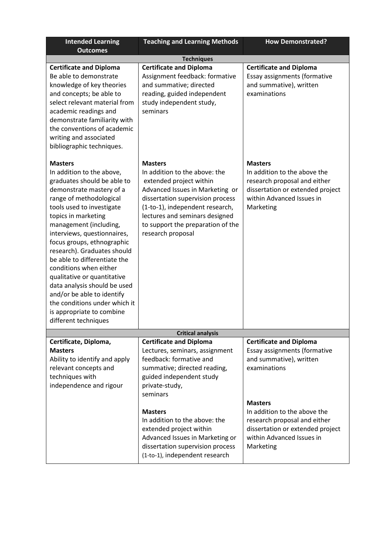| <b>Intended Learning</b><br><b>Outcomes</b>                                                                                                                                                                                                                                                                                                                                                                                                                                                                                                              | <b>Teaching and Learning Methods</b>                                                                                                                                                                                                                                             | <b>How Demonstrated?</b>                                                                                                                                     |  |
|----------------------------------------------------------------------------------------------------------------------------------------------------------------------------------------------------------------------------------------------------------------------------------------------------------------------------------------------------------------------------------------------------------------------------------------------------------------------------------------------------------------------------------------------------------|----------------------------------------------------------------------------------------------------------------------------------------------------------------------------------------------------------------------------------------------------------------------------------|--------------------------------------------------------------------------------------------------------------------------------------------------------------|--|
| <b>Techniques</b>                                                                                                                                                                                                                                                                                                                                                                                                                                                                                                                                        |                                                                                                                                                                                                                                                                                  |                                                                                                                                                              |  |
| <b>Certificate and Diploma</b><br>Be able to demonstrate<br>knowledge of key theories<br>and concepts; be able to<br>select relevant material from<br>academic readings and<br>demonstrate familiarity with<br>the conventions of academic<br>writing and associated<br>bibliographic techniques.                                                                                                                                                                                                                                                        | <b>Certificate and Diploma</b><br>Assignment feedback: formative<br>and summative; directed<br>reading, guided independent<br>study independent study,<br>seminars                                                                                                               | <b>Certificate and Diploma</b><br>Essay assignments (formative<br>and summative), written<br>examinations                                                    |  |
| <b>Masters</b><br>In addition to the above,<br>graduates should be able to<br>demonstrate mastery of a<br>range of methodological<br>tools used to investigate<br>topics in marketing<br>management (including,<br>interviews, questionnaires,<br>focus groups, ethnographic<br>research). Graduates should<br>be able to differentiate the<br>conditions when either<br>qualitative or quantitative<br>data analysis should be used<br>and/or be able to identify<br>the conditions under which it<br>is appropriate to combine<br>different techniques | <b>Masters</b><br>In addition to the above: the<br>extended project within<br>Advanced Issues in Marketing or<br>dissertation supervision process<br>(1-to-1), independent research,<br>lectures and seminars designed<br>to support the preparation of the<br>research proposal | <b>Masters</b><br>In addition to the above the<br>research proposal and either<br>dissertation or extended project<br>within Advanced Issues in<br>Marketing |  |
|                                                                                                                                                                                                                                                                                                                                                                                                                                                                                                                                                          | <b>Critical analysis</b>                                                                                                                                                                                                                                                         |                                                                                                                                                              |  |
| Certificate, Diploma,                                                                                                                                                                                                                                                                                                                                                                                                                                                                                                                                    | <b>Certificate and Diploma</b>                                                                                                                                                                                                                                                   | <b>Certificate and Diploma</b>                                                                                                                               |  |
| <b>Masters</b><br>Ability to identify and apply<br>relevant concepts and<br>techniques with<br>independence and rigour                                                                                                                                                                                                                                                                                                                                                                                                                                   | Lectures, seminars, assignment<br>feedback: formative and<br>summative; directed reading,<br>guided independent study<br>private-study,<br>seminars                                                                                                                              | Essay assignments (formative<br>and summative), written<br>examinations                                                                                      |  |
|                                                                                                                                                                                                                                                                                                                                                                                                                                                                                                                                                          | <b>Masters</b><br>In addition to the above: the<br>extended project within<br>Advanced Issues in Marketing or<br>dissertation supervision process<br>(1-to-1), independent research                                                                                              | <b>Masters</b><br>In addition to the above the<br>research proposal and either<br>dissertation or extended project<br>within Advanced Issues in<br>Marketing |  |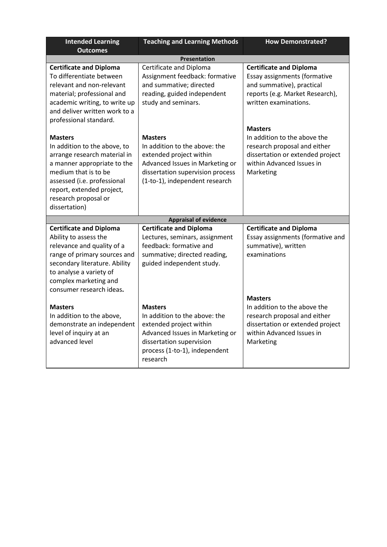| <b>Intended Learning</b>                                                                                                                                                                                                                   | <b>Teaching and Learning Methods</b>                                                                                                                                                   | <b>How Demonstrated?</b>                                                                                                                                     |
|--------------------------------------------------------------------------------------------------------------------------------------------------------------------------------------------------------------------------------------------|----------------------------------------------------------------------------------------------------------------------------------------------------------------------------------------|--------------------------------------------------------------------------------------------------------------------------------------------------------------|
| <b>Outcomes</b>                                                                                                                                                                                                                            |                                                                                                                                                                                        |                                                                                                                                                              |
|                                                                                                                                                                                                                                            | <b>Presentation</b>                                                                                                                                                                    |                                                                                                                                                              |
| <b>Certificate and Diploma</b><br>To differentiate between<br>relevant and non-relevant<br>material; professional and<br>academic writing, to write up<br>and deliver written work to a<br>professional standard.                          | Certificate and Diploma<br>Assignment feedback: formative<br>and summative; directed<br>reading, guided independent<br>study and seminars.                                             | <b>Certificate and Diploma</b><br>Essay assignments (formative<br>and summative), practical<br>reports (e.g. Market Research),<br>written examinations.      |
| <b>Masters</b><br>In addition to the above, to<br>arrange research material in<br>a manner appropriate to the<br>medium that is to be<br>assessed (i.e. professional<br>report, extended project,<br>research proposal or<br>dissertation) | <b>Masters</b><br>In addition to the above: the<br>extended project within<br>Advanced Issues in Marketing or<br>dissertation supervision process<br>(1-to-1), independent research    | <b>Masters</b><br>In addition to the above the<br>research proposal and either<br>dissertation or extended project<br>within Advanced Issues in<br>Marketing |
|                                                                                                                                                                                                                                            | <b>Appraisal of evidence</b>                                                                                                                                                           |                                                                                                                                                              |
| <b>Certificate and Diploma</b><br>Ability to assess the<br>relevance and quality of a<br>range of primary sources and<br>secondary literature. Ability<br>to analyse a variety of<br>complex marketing and<br>consumer research ideas.     | <b>Certificate and Diploma</b><br>Lectures, seminars, assignment<br>feedback: formative and<br>summative; directed reading,<br>guided independent study.                               | <b>Certificate and Diploma</b><br>Essay assignments (formative and<br>summative), written<br>examinations                                                    |
| <b>Masters</b><br>In addition to the above,<br>demonstrate an independent<br>level of inquiry at an<br>advanced level                                                                                                                      | <b>Masters</b><br>In addition to the above: the<br>extended project within<br>Advanced Issues in Marketing or<br>dissertation supervision<br>process (1-to-1), independent<br>research | <b>Masters</b><br>In addition to the above the<br>research proposal and either<br>dissertation or extended project<br>within Advanced Issues in<br>Marketing |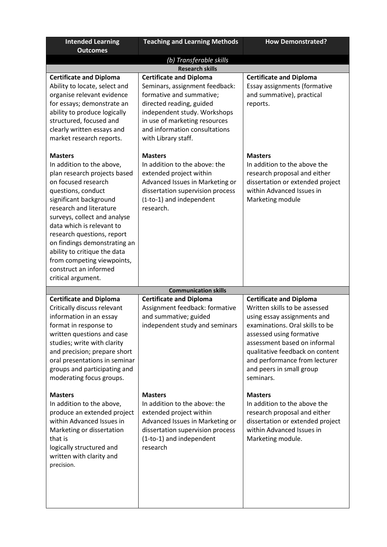| <b>Intended Learning</b><br><b>Outcomes</b>                                                                                                                                                                                                                                                                                                                                                                           | <b>Teaching and Learning Methods</b>                                                                                                                                                                                                              | <b>How Demonstrated?</b>                                                                                                                                                                                                                                                                                   |  |
|-----------------------------------------------------------------------------------------------------------------------------------------------------------------------------------------------------------------------------------------------------------------------------------------------------------------------------------------------------------------------------------------------------------------------|---------------------------------------------------------------------------------------------------------------------------------------------------------------------------------------------------------------------------------------------------|------------------------------------------------------------------------------------------------------------------------------------------------------------------------------------------------------------------------------------------------------------------------------------------------------------|--|
| (b) Transferable skills<br><b>Research skills</b>                                                                                                                                                                                                                                                                                                                                                                     |                                                                                                                                                                                                                                                   |                                                                                                                                                                                                                                                                                                            |  |
| <b>Certificate and Diploma</b><br>Ability to locate, select and<br>organise relevant evidence<br>for essays; demonstrate an<br>ability to produce logically<br>structured, focused and<br>clearly written essays and<br>market research reports.                                                                                                                                                                      | <b>Certificate and Diploma</b><br>Seminars, assignment feedback:<br>formative and summative;<br>directed reading, guided<br>independent study. Workshops<br>in use of marketing resources<br>and information consultations<br>with Library staff. | <b>Certificate and Diploma</b><br>Essay assignments (formative<br>and summative), practical<br>reports.                                                                                                                                                                                                    |  |
| <b>Masters</b><br>In addition to the above,<br>plan research projects based<br>on focused research<br>questions, conduct<br>significant background<br>research and literature<br>surveys, collect and analyse<br>data which is relevant to<br>research questions, report<br>on findings demonstrating an<br>ability to critique the data<br>from competing viewpoints,<br>construct an informed<br>critical argument. | <b>Masters</b><br>In addition to the above: the<br>extended project within<br>Advanced Issues in Marketing or<br>dissertation supervision process<br>(1-to-1) and independent<br>research.                                                        | <b>Masters</b><br>In addition to the above the<br>research proposal and either<br>dissertation or extended project<br>within Advanced Issues in<br>Marketing module                                                                                                                                        |  |
|                                                                                                                                                                                                                                                                                                                                                                                                                       | <b>Communication skills</b>                                                                                                                                                                                                                       |                                                                                                                                                                                                                                                                                                            |  |
| <b>Certificate and Diploma</b><br>Critically discuss relevant<br>information in an essay<br>format in response to<br>written questions and case<br>studies; write with clarity<br>and precision; prepare short<br>oral presentations in seminar<br>groups and participating and<br>moderating focus groups.                                                                                                           | <b>Certificate and Diploma</b><br>Assignment feedback: formative<br>and summative; guided<br>independent study and seminars                                                                                                                       | <b>Certificate and Diploma</b><br>Written skills to be assessed<br>using essay assignments and<br>examinations. Oral skills to be<br>assessed using formative<br>assessment based on informal<br>qualitative feedback on content<br>and performance from lecturer<br>and peers in small group<br>seminars. |  |
| <b>Masters</b><br>In addition to the above,<br>produce an extended project<br>within Advanced Issues in<br>Marketing or dissertation<br>that is<br>logically structured and<br>written with clarity and<br>precision.                                                                                                                                                                                                 | <b>Masters</b><br>In addition to the above: the<br>extended project within<br>Advanced Issues in Marketing or<br>dissertation supervision process<br>(1-to-1) and independent<br>research                                                         | <b>Masters</b><br>In addition to the above the<br>research proposal and either<br>dissertation or extended project<br>within Advanced Issues in<br>Marketing module.                                                                                                                                       |  |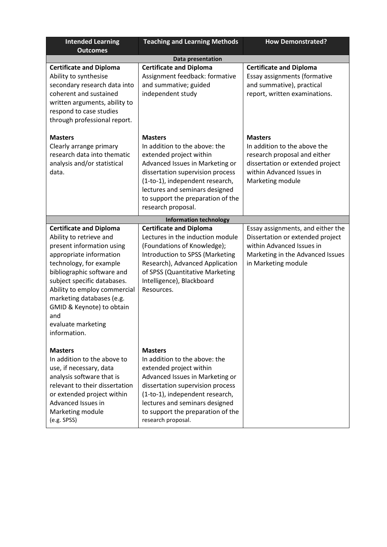| <b>Intended Learning</b><br><b>Outcomes</b>                                                                                                                                                                                                                                                                                                      | <b>Teaching and Learning Methods</b>                                                                                                                                                                                                                                              | <b>How Demonstrated?</b>                                                                                                                                            |  |
|--------------------------------------------------------------------------------------------------------------------------------------------------------------------------------------------------------------------------------------------------------------------------------------------------------------------------------------------------|-----------------------------------------------------------------------------------------------------------------------------------------------------------------------------------------------------------------------------------------------------------------------------------|---------------------------------------------------------------------------------------------------------------------------------------------------------------------|--|
| <b>Data presentation</b>                                                                                                                                                                                                                                                                                                                         |                                                                                                                                                                                                                                                                                   |                                                                                                                                                                     |  |
| <b>Certificate and Diploma</b><br>Ability to synthesise<br>secondary research data into<br>coherent and sustained<br>written arguments, ability to<br>respond to case studies<br>through professional report.                                                                                                                                    | <b>Certificate and Diploma</b><br>Assignment feedback: formative<br>and summative; guided<br>independent study                                                                                                                                                                    | <b>Certificate and Diploma</b><br>Essay assignments (formative<br>and summative), practical<br>report, written examinations.                                        |  |
| <b>Masters</b><br>Clearly arrange primary<br>research data into thematic<br>analysis and/or statistical<br>data.                                                                                                                                                                                                                                 | <b>Masters</b><br>In addition to the above: the<br>extended project within<br>Advanced Issues in Marketing or<br>dissertation supervision process<br>(1-to-1), independent research,<br>lectures and seminars designed<br>to support the preparation of the<br>research proposal. | <b>Masters</b><br>In addition to the above the<br>research proposal and either<br>dissertation or extended project<br>within Advanced Issues in<br>Marketing module |  |
|                                                                                                                                                                                                                                                                                                                                                  | <b>Information technology</b>                                                                                                                                                                                                                                                     |                                                                                                                                                                     |  |
| <b>Certificate and Diploma</b><br>Ability to retrieve and<br>present information using<br>appropriate information<br>technology, for example<br>bibliographic software and<br>subject specific databases.<br>Ability to employ commercial<br>marketing databases (e.g.<br>GMID & Keynote) to obtain<br>and<br>evaluate marketing<br>information. | <b>Certificate and Diploma</b><br>Lectures in the induction module<br>(Foundations of Knowledge);<br>Introduction to SPSS (Marketing<br>Research), Advanced Application<br>of SPSS (Quantitative Marketing<br>Intelligence), Blackboard<br>Resources.                             | Essay assignments, and either the<br>Dissertation or extended project<br>within Advanced Issues in<br>Marketing in the Advanced Issues<br>in Marketing module       |  |
| <b>Masters</b><br>In addition to the above to<br>use, if necessary, data<br>analysis software that is<br>relevant to their dissertation<br>or extended project within<br>Advanced Issues in<br>Marketing module<br>(e.g. SPSS)                                                                                                                   | <b>Masters</b><br>In addition to the above: the<br>extended project within<br>Advanced Issues in Marketing or<br>dissertation supervision process<br>(1-to-1), independent research,<br>lectures and seminars designed<br>to support the preparation of the<br>research proposal. |                                                                                                                                                                     |  |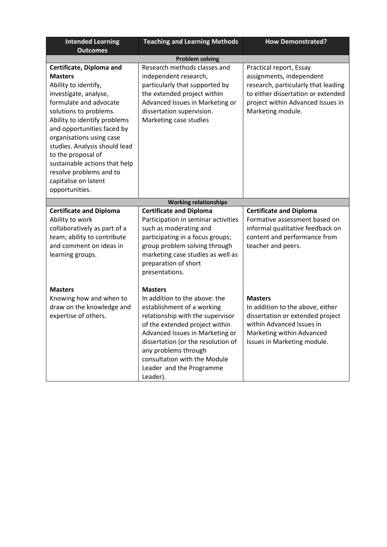| <b>Intended Learning</b>                                                                                                                                                                                                                                                                                                                                                                               | <b>Teaching and Learning Methods</b>                                                                                                                                                                                                                                                                                         | <b>How Demonstrated?</b>                                                                                                                                                                   |  |
|--------------------------------------------------------------------------------------------------------------------------------------------------------------------------------------------------------------------------------------------------------------------------------------------------------------------------------------------------------------------------------------------------------|------------------------------------------------------------------------------------------------------------------------------------------------------------------------------------------------------------------------------------------------------------------------------------------------------------------------------|--------------------------------------------------------------------------------------------------------------------------------------------------------------------------------------------|--|
| <b>Outcomes</b>                                                                                                                                                                                                                                                                                                                                                                                        |                                                                                                                                                                                                                                                                                                                              |                                                                                                                                                                                            |  |
| <b>Problem solving</b>                                                                                                                                                                                                                                                                                                                                                                                 |                                                                                                                                                                                                                                                                                                                              |                                                                                                                                                                                            |  |
| Certificate, Diploma and<br><b>Masters</b><br>Ability to identify,<br>investigate, analyse,<br>formulate and advocate<br>solutions to problems.<br>Ability to identify problems<br>and opportunities faced by<br>organisations using case<br>studies. Analysis should lead<br>to the proposal of<br>sustainable actions that help<br>resolve problems and to<br>capitalise on latent<br>opportunities. | Research methods classes and<br>independent research,<br>particularly that supported by<br>the extended project within<br>Advanced Issues in Marketing or<br>dissertation supervision.<br>Marketing case studies                                                                                                             | Practical report, Essay<br>assignments, independent<br>research, particularly that leading<br>to either dissertation or extended<br>project within Advanced Issues in<br>Marketing module. |  |
|                                                                                                                                                                                                                                                                                                                                                                                                        | <b>Working relationships</b>                                                                                                                                                                                                                                                                                                 |                                                                                                                                                                                            |  |
| <b>Certificate and Diploma</b><br>Ability to work<br>collaboratively as part of a<br>team; ability to contribute<br>and comment on ideas in<br>learning groups.                                                                                                                                                                                                                                        | <b>Certificate and Diploma</b><br>Participation in seminar activities<br>such as moderating and<br>participating in a focus groups;<br>group problem solving through<br>marketing case studies as well as<br>preparation of short<br>presentations.                                                                          | <b>Certificate and Diploma</b><br>Formative assessment based on<br>informal qualitative feedback on<br>content and performance from<br>teacher and peers.                                  |  |
| <b>Masters</b><br>Knowing how and when to<br>draw on the knowledge and<br>expertise of others.                                                                                                                                                                                                                                                                                                         | <b>Masters</b><br>In addition to the above: the<br>establishment of a working<br>relationship with the supervisor<br>of the extended project within<br>Advanced Issues in Marketing or<br>dissertation (or the resolution of<br>any problems through<br>consultation with the Module<br>Leader and the Programme<br>Leader). | <b>Masters</b><br>In addition to the above, either<br>dissertation or extended project<br>within Advanced Issues in<br>Marketing within Advanced<br>Issues in Marketing module.            |  |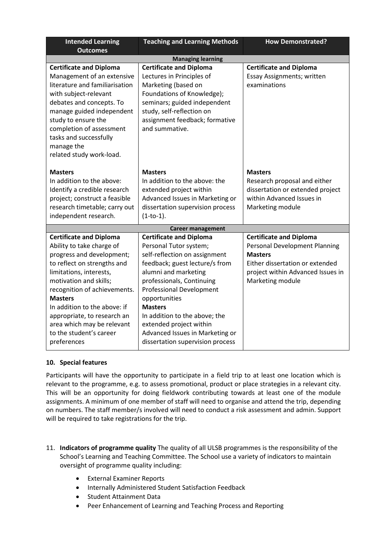| <b>Intended Learning</b><br><b>Outcomes</b>                                                                                                                                                                                                                                                                                                                           | <b>Teaching and Learning Methods</b>                                                                                                                                                                                                                                                                                                                                                      | <b>How Demonstrated?</b>                                                                                                                                                             |
|-----------------------------------------------------------------------------------------------------------------------------------------------------------------------------------------------------------------------------------------------------------------------------------------------------------------------------------------------------------------------|-------------------------------------------------------------------------------------------------------------------------------------------------------------------------------------------------------------------------------------------------------------------------------------------------------------------------------------------------------------------------------------------|--------------------------------------------------------------------------------------------------------------------------------------------------------------------------------------|
|                                                                                                                                                                                                                                                                                                                                                                       | <b>Managing learning</b>                                                                                                                                                                                                                                                                                                                                                                  |                                                                                                                                                                                      |
| <b>Certificate and Diploma</b><br>Management of an extensive<br>literature and familiarisation<br>with subject-relevant<br>debates and concepts. To<br>manage guided independent<br>study to ensure the<br>completion of assessment<br>tasks and successfully<br>manage the<br>related study work-load.                                                               | <b>Certificate and Diploma</b><br>Lectures in Principles of<br>Marketing (based on<br>Foundations of Knowledge);<br>seminars; guided independent<br>study, self-reflection on<br>assignment feedback; formative<br>and summative.                                                                                                                                                         | <b>Certificate and Diploma</b><br>Essay Assignments; written<br>examinations                                                                                                         |
| <b>Masters</b><br>In addition to the above:<br>Identify a credible research<br>project; construct a feasible<br>research timetable; carry out<br>independent research.                                                                                                                                                                                                | <b>Masters</b><br>In addition to the above: the<br>extended project within<br>Advanced Issues in Marketing or<br>dissertation supervision process<br>$(1-to-1).$                                                                                                                                                                                                                          | <b>Masters</b><br>Research proposal and either<br>dissertation or extended project<br>within Advanced Issues in<br>Marketing module                                                  |
|                                                                                                                                                                                                                                                                                                                                                                       | <b>Career management</b>                                                                                                                                                                                                                                                                                                                                                                  |                                                                                                                                                                                      |
| <b>Certificate and Diploma</b><br>Ability to take charge of<br>progress and development;<br>to reflect on strengths and<br>limitations, interests,<br>motivation and skills;<br>recognition of achievements.<br><b>Masters</b><br>In addition to the above: if<br>appropriate, to research an<br>area which may be relevant<br>to the student's career<br>preferences | <b>Certificate and Diploma</b><br>Personal Tutor system;<br>self-reflection on assignment<br>feedback; guest lecture/s from<br>alumni and marketing<br>professionals, Continuing<br><b>Professional Development</b><br>opportunities<br><b>Masters</b><br>In addition to the above; the<br>extended project within<br>Advanced Issues in Marketing or<br>dissertation supervision process | <b>Certificate and Diploma</b><br><b>Personal Development Planning</b><br><b>Masters</b><br>Either dissertation or extended<br>project within Advanced Issues in<br>Marketing module |

# **10. Special features**

Participants will have the opportunity to participate in a field trip to at least one location which is relevant to the programme, e.g. to assess promotional, product or place strategies in a relevant city. This will be an opportunity for doing fieldwork contributing towards at least one of the module assignments. A minimum of one member of staff will need to organise and attend the trip, depending on numbers. The staff member/s involved will need to conduct a risk assessment and admin. Support will be required to take registrations for the trip.

- 11. **Indicators of programme quality** The quality of all ULSB programmes is the responsibility of the School's Learning and Teaching Committee. The School use a variety of indicators to maintain oversight of programme quality including:
	- External Examiner Reports
	- Internally Administered Student Satisfaction Feedback
	- Student Attainment Data
	- Peer Enhancement of Learning and Teaching Process and Reporting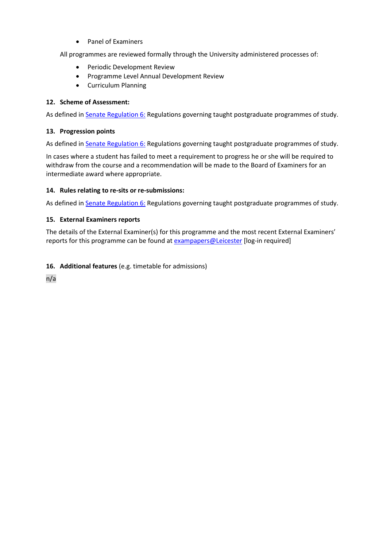• Panel of Examiners

All programmes are reviewed formally through the University administered processes of:

- Periodic Development Review
- Programme Level Annual Development Review
- Curriculum Planning

# **12. Scheme of Assessment:**

As defined i[n Senate Regulation 6:](http://www.le.ac.uk/senate-regulation6) Regulations governing taught postgraduate programmes of study.

## **13. Progression points**

As defined in **Senate Regulation 6:** Regulations governing taught postgraduate programmes of study.

In cases where a student has failed to meet a requirement to progress he or she will be required to withdraw from the course and a recommendation will be made to the Board of Examiners for an intermediate award where appropriate.

## **14. Rules relating to re-sits or re-submissions:**

As defined i[n Senate Regulation 6:](http://www.le.ac.uk/senate-regulation6) Regulations governing taught postgraduate programmes of study.

## **15. External Examiners reports**

The details of the External Examiner(s) for this programme and the most recent External Examiners' reports for this programme can be found at [exampapers@Leicester](https://exampapers.le.ac.uk/xmlui/) [log-in required]

# **16. Additional features** (e.g. timetable for admissions)

n/a